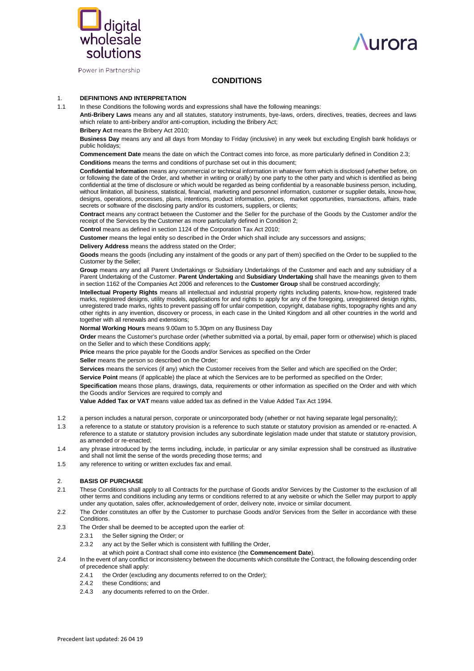



Power in Partnership

# **CONDITIONS**

## 1. **DEFINITIONS AND INTERPRETATION**

1.1 In these Conditions the following words and expressions shall have the following meanings:

**Anti-Bribery Laws** means any and all statutes, statutory instruments, bye-laws, orders, directives, treaties, decrees and laws which relate to anti-bribery and/or anti-corruption, including the Bribery Act;

**Bribery Act** means the Bribery Act 2010;

**Business Day** means any and all days from Monday to Friday (inclusive) in any week but excluding English bank holidays or public holidays;

**Commencement Date** means the date on which the Contract comes into force, as more particularly defined in Condition 2.3; **Conditions** means the terms and conditions of purchase set out in this document;

**Confidential Information** means any commercial or technical information in whatever form which is disclosed (whether before, on or following the date of the Order, and whether in writing or orally) by one party to the other party and which is identified as being confidential at the time of disclosure or which would be regarded as being confidential by a reasonable business person, including, without limitation, all business, statistical, financial, marketing and personnel information, customer or supplier details, know-how, designs, operations, processes, plans, intentions, product information, prices, market opportunities, transactions, affairs, trade secrets or software of the disclosing party and/or its customers, suppliers, or clients;

**Contract** means any contract between the Customer and the Seller for the purchase of the Goods by the Customer and/or the receipt of the Services by the Customer as more particularly defined in Condition 2;

**Control** means as defined in section 1124 of the Corporation Tax Act 2010;

**Customer** means the legal entity so described in the Order which shall include any successors and assigns;

**Delivery Address** means the address stated on the Order;

**Goods** means the goods (including any instalment of the goods or any part of them) specified on the Order to be supplied to the Customer by the Seller;

**Group** means any and all Parent Undertakings or Subsidiary Undertakings of the Customer and each and any subsidiary of a Parent Undertaking of the Customer. **Parent Undertaking** and **Subsidiary Undertaking** shall have the meanings given to them in section 1162 of the Companies Act 2006 and references to the **Customer Group** shall be construed accordingly;

**Intellectual Property Rights** means all intellectual and industrial property rights including patents, know-how, registered trade marks, registered designs, utility models, applications for and rights to apply for any of the foregoing, unregistered design rights, unregistered trade marks, rights to prevent passing off for unfair competition, copyright, database rights, topography rights and any other rights in any invention, discovery or process, in each case in the United Kingdom and all other countries in the world and together with all renewals and extensions;

**Normal Working Hours** means 9.00am to 5.30pm on any Business Day

**Order** means the Customer's purchase order (whether submitted via a portal, by email, paper form or otherwise) which is placed on the Seller and to which these Conditions apply;

**Price** means the price payable for the Goods and/or Services as specified on the Order

**Seller** means the person so described on the Order:

**Services** means the services (if any) which the Customer receives from the Seller and which are specified on the Order;

**Service Point** means (if applicable) the place at which the Services are to be performed as specified on the Order;

**Specification** means those plans, drawings, data, requirements or other information as specified on the Order and with which the Goods and/or Services are required to comply and

**Value Added Tax or VAT** means value added tax as defined in the Value Added Tax Act 1994.

- 1.2 a person includes a natural person, corporate or unincorporated body (whether or not having separate legal personality);
- 1.3 a reference to a statute or statutory provision is a reference to such statute or statutory provision as amended or re-enacted. A reference to a statute or statutory provision includes any subordinate legislation made under that statute or statutory provision, as amended or re-enacted;
- 1.4 any phrase introduced by the terms including, include, in particular or any similar expression shall be construed as illustrative and shall not limit the sense of the words preceding those terms; and
- 1.5 any reference to writing or written excludes fax and email.

## 2. **BASIS OF PURCHASE**

- 2.1 These Conditions shall apply to all Contracts for the purchase of Goods and/or Services by the Customer to the exclusion of all other terms and conditions including any terms or conditions referred to at any website or which the Seller may purport to apply under any quotation, sales offer, acknowledgement of order, delivery note, invoice or similar document.
- 2.2 The Order constitutes an offer by the Customer to purchase Goods and/or Services from the Seller in accordance with these **Conditions**
- 2.3 The Order shall be deemed to be accepted upon the earlier of:
	- 2.3.1 the Seller signing the Order; or
	- 2.3.2 any act by the Seller which is consistent with fulfilling the Order.
	- at which point a Contract shall come into existence (the **Commencement Date**).
- 2.4 In the event of any conflict or inconsistency between the documents which constitute the Contract, the following descending order of precedence shall apply:
	- 2.4.1 the Order (excluding any documents referred to on the Order);
	- 2.4.2 these Conditions; and
	- 2.4.3 any documents referred to on the Order.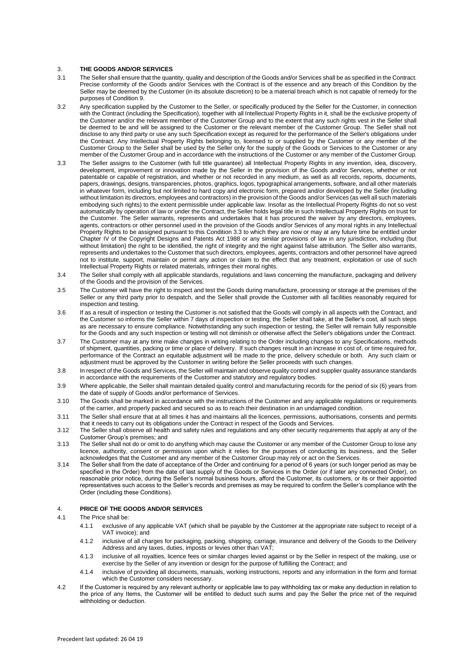### 3. **THE GOODS AND/OR SERVICES**

- 3.1 The Seller shall ensure that the quantity, quality and description of the Goods and/or Services shall be as specified in the Contract. Precise conformity of the Goods and/or Services with the Contract is of the essence and any breach of this Condition by the Seller may be deemed by the Customer (in its absolute discretion) to be a material breach which is not capable of remedy for the purposes of Condition 9.
- 3.2 Any specification supplied by the Customer to the Seller, or specifically produced by the Seller for the Customer, in connection with the Contract (including the Specification), together with all Intellectual Property Rights in it, shall be the exclusive property of the Customer and/or the relevant member of the Customer Group and to the extent that any such rights vest in the Seller shall be deemed to be and will be assigned to the Customer or the relevant member of the Customer Group. The Seller shall not disclose to any third party or use any such Specification except as required for the performance of the Seller's obligations under the Contract. Any Intellectual Property Rights belonging to, licensed to or supplied by the Customer or any member of the Customer Group to the Seller shall be used by the Seller only for the supply of the Goods or Services to the Customer or any member of the Customer Group and in accordance with the instructions of the Customer or any member of the Customer Group.
- 3.3 The Seller assigns to the Customer (with full title guarantee) all Intellectual Property Rights in any invention, idea, discovery, development, improvement or innovation made by the Seller in the provision of the Goods and/or Services, whether or not patentable or capable of registration, and whether or not recorded in any medium, as well as all records, reports, documents, papers, drawings, designs, transparencies, photos, graphics, logos, typographical arrangements, software, and all other materials in whatever form, including but not limited to hard copy and electronic form, prepared and/or developed by the Seller (including without limitation its directors, employees and contractors) in the provision of the Goods and/or Services (as well all such materials embodying such rights) to the extent permissible under applicable law. Insofar as the Intellectual Property Rights do not so vest automatically by operation of law or under the Contract, the Seller holds legal title in such Intellectual Property Rights on trust for the Customer. The Seller warrants, represents and undertakes that it has procured the waiver by any directors, employees, agents, contractors or other personnel used in the provision of the Goods and/or Services of any moral rights in any Intellectual Property Rights to be assigned pursuant to this Condition 3.3 to which they are now or may at any future time be entitled under Chapter IV of the Copyright Designs and Patents Act 1988 or any similar provisions of law in any jurisdiction, including (but without limitation) the right to be identified, the right of integrity and the right against false attribution. The Seller also warrants, represents and undertakes to the Customer that such directors, employees, agents, contractors and other personnel have agreed not to institute, support, maintain or permit any action or claim to the effect that any treatment, exploitation or use of such Intellectual Property Rights or related materials, infringes their moral rights.
- 3.4 The Seller shall comply with all applicable standards, regulations and laws concerning the manufacture, packaging and delivery of the Goods and the provision of the Services.
- 3.5 The Customer will have the right to inspect and test the Goods during manufacture, processing or storage at the premises of the Seller or any third party prior to despatch, and the Seller shall provide the Customer with all facilities reasonably required for inspection and testing.
- 3.6 If as a result of inspection or testing the Customer is not satisfied that the Goods will comply in all aspects with the Contract, and the Customer so informs the Seller within 7 days of inspection or testing, the Seller shall take, at the Seller's cost, all such steps as are necessary to ensure compliance. Notwithstanding any such inspection or testing, the Seller will remain fully responsible for the Goods and any such inspection or testing will not diminish or otherwise affect the Seller's obligations under the Contract.
- 3.7 The Customer may at any time make changes in writing relating to the Order including changes to any Specifications, methods of shipment, quantities, packing or time or place of delivery. If such changes result in an increase in cost of, or time required for, performance of the Contract an equitable adjustment will be made to the price, delivery schedule or both. Any such claim or adjustment must be approved by the Customer in writing before the Seller proceeds with such changes.
- 3.8 In respect of the Goods and Services, the Seller will maintain and observe quality control and supplier quality assurance standards in accordance with the requirements of the Customer and statutory and regulatory bodies.
- 3.9 Where applicable, the Seller shall maintain detailed quality control and manufacturing records for the period of six (6) years from the date of supply of Goods and/or performance of Services.
- 3.10 The Goods shall be marked in accordance with the instructions of the Customer and any applicable regulations or requirements of the carrier, and properly packed and secured so as to reach their destination in an undamaged condition.
- 3.11 The Seller shall ensure that at all times it has and maintains all the licences, permissions, authorisations, consents and permits that it needs to carry out its obligations under the Contract in respect of the Goods and Services.
- 3.12 The Seller shall observe all health and safety rules and regulations and any other security requirements that apply at any of the Customer Group's premises; and
- 3.13 The Seller shall not do or omit to do anything which may cause the Customer or any member of the Customer Group to lose any licence, authority, consent or permission upon which it relies for the purposes of conducting its business, and the Seller acknowledges that the Customer and any member of the Customer Group may rely or act on the Services.
- 3.14 The Seller shall from the date of acceptance of the Order and continuing for a period of 6 years (or such longer period as may be specified in the Order) from the date of last supply of the Goods or Services in the Order (or if later any connected Order), on reasonable prior notice, during the Seller's normal business hours, afford the Customer, its customers, or its or their appointed representatives such access to the Seller's records and premises as may be required to confirm the Seller's compliance with the Order (including these Conditions).

## 4. **PRICE OF THE GOODS AND/OR SERVICES**

- 4.1 The Price shall be:
	- 4.1.1 exclusive of any applicable VAT (which shall be payable by the Customer at the appropriate rate subject to receipt of a VAT invoice); and
	- 4.1.2 inclusive of all charges for packaging, packing, shipping, carriage, insurance and delivery of the Goods to the Delivery Address and any taxes, duties, imposts or levies other than VAT;
	- 4.1.3 inclusive of all royalties, licence fees or similar charges levied against or by the Seller in respect of the making, use or exercise by the Seller of any invention or design for the purpose of fulfilling the Contract; and
	- 4.1.4 inclusive of providing all documents, manuals, working instructions, reports and any information in the form and format which the Customer considers necessary.
- 4.2 If the Customer is required by any relevant authority or applicable law to pay withholding tax or make any deduction in relation to the price of any Items, the Customer will be entitled to deduct such sums and pay the Seller the price net of the required withholding or deduction.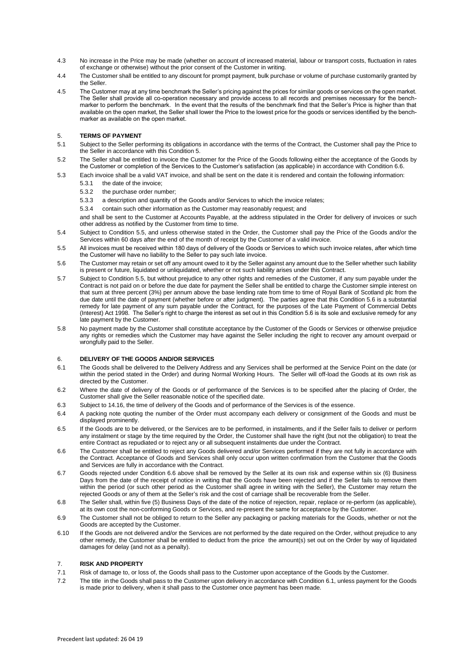- 4.3 No increase in the Price may be made (whether on account of increased material, labour or transport costs, fluctuation in rates of exchange or otherwise) without the prior consent of the Customer in writing.
- 4.4 The Customer shall be entitled to any discount for prompt payment, bulk purchase or volume of purchase customarily granted by the Seller.
- 4.5 The Customer may at any time benchmark the Seller's pricing against the prices for similar goods or services on the open market. The Seller shall provide all co-operation necessary and provide access to all records and premises necessary for the benchmarker to perform the benchmark. In the event that the results of the benchmark find that the Seller's Price is higher than that available on the open market, the Seller shall lower the Price to the lowest price for the goods or services identified by the benchmarker as available on the open market.

## 5. **TERMS OF PAYMENT**

- 5.1 Subject to the Seller performing its obligations in accordance with the terms of the Contract, the Customer shall pay the Price to the Seller in accordance with this Condition 5.
- 5.2 The Seller shall be entitled to invoice the Customer for the Price of the Goods following either the acceptance of the Goods by the Customer or completion of the Services to the Customer's satisfaction (as applicable) in accordance with Condition 6.6.
- 5.3 Each invoice shall be a valid VAT invoice, and shall be sent on the date it is rendered and contain the following information:
	- 5.3.1 the date of the invoice;
	- 5.3.2 the purchase order number;
	- 5.3.3 a description and quantity of the Goods and/or Services to which the invoice relates;
	- 5.3.4 contain such other information as the Customer may reasonably request; and

and shall be sent to the Customer at Accounts Payable, at the address stipulated in the Order for delivery of invoices or such other address as notified by the Customer from time to time.

- 5.4 Subject to Condition 5.5, and unless otherwise stated in the Order, the Customer shall pay the Price of the Goods and/or the Services within 60 days after the end of the month of receipt by the Customer of a valid invoice.
- 5.5 All invoices must be received within 180 days of delivery of the Goods or Services to which such invoice relates, after which time the Customer will have no liability to the Seller to pay such late invoice.
- 5.6 The Customer may retain or set off any amount owed to it by the Seller against any amount due to the Seller whether such liability is present or future, liquidated or unliquidated, whether or not such liability arises under this Contract.
- 5.7 Subject to Condition 5.5, but without prejudice to any other rights and remedies of the Customer, if any sum payable under the Contract is not paid on or before the due date for payment the Seller shall be entitled to charge the Customer simple interest on that sum at three percent (3%) per annum above the base lending rate from time to time of Royal Bank of Scotland plc from the due date until the date of payment (whether before or after judgment). The parties agree that this Condition 5.6 is a substantial remedy for late payment of any sum payable under the Contract, for the purposes of the Late Payment of Commercial Debts (Interest) Act 1998. The Seller's right to charge the interest as set out in this Condition 5.6 is its sole and exclusive remedy for any late payment by the Customer.
- 5.8 No payment made by the Customer shall constitute acceptance by the Customer of the Goods or Services or otherwise prejudice any rights or remedies which the Customer may have against the Seller including the right to recover any amount overpaid or wrongfully paid to the Seller.

## 6. **DELIVERY OF THE GOODS AND/OR SERVICES**

- 6.1 The Goods shall be delivered to the Delivery Address and any Services shall be performed at the Service Point on the date (or within the period stated in the Order) and during Normal Working Hours. The Seller will off-load the Goods at its own risk as directed by the Customer.
- 6.2 Where the date of delivery of the Goods or of performance of the Services is to be specified after the placing of Order, the Customer shall give the Seller reasonable notice of the specified date.
- 6.3 Subject to 14.16, the time of delivery of the Goods and of performance of the Services is of the essence.
- 6.4 A packing note quoting the number of the Order must accompany each delivery or consignment of the Goods and must be displayed prominently.
- 6.5 If the Goods are to be delivered, or the Services are to be performed, in instalments, and if the Seller fails to deliver or perform any instalment or stage by the time required by the Order, the Customer shall have the right (but not the obligation) to treat the entire Contract as repudiated or to reject any or all subsequent instalments due under the Contract.
- 6.6 The Customer shall be entitled to reject any Goods delivered and/or Services performed if they are not fully in accordance with the Contract. Acceptance of Goods and Services shall only occur upon written confirmation from the Customer that the Goods and Services are fully in accordance with the Contract.
- 6.7 Goods rejected under Condition 6.6 above shall be removed by the Seller at its own risk and expense within six (6) Business Days from the date of the receipt of notice in writing that the Goods have been rejected and if the Seller fails to remove them within the period (or such other period as the Customer shall agree in writing with the Seller), the Customer may return the rejected Goods or any of them at the Seller's risk and the cost of carriage shall be recoverable from the Seller.
- 6.8 The Seller shall, within five (5) Business Days of the date of the notice of rejection, repair, replace or re-perform (as applicable), at its own cost the non-conforming Goods or Services, and re-present the same for acceptance by the Customer.
- 6.9 The Customer shall not be obliged to return to the Seller any packaging or packing materials for the Goods, whether or not the Goods are accepted by the Customer.
- 6.10 If the Goods are not delivered and/or the Services are not performed by the date required on the Order, without prejudice to any other remedy, the Customer shall be entitled to deduct from the price the amount(s) set out on the Order by way of liquidated damages for delay (and not as a penalty).

## 7. **RISK AND PROPERTY**

- 7.1 Risk of damage to, or loss of, the Goods shall pass to the Customer upon acceptance of the Goods by the Customer.
- 7.2 The title in the Goods shall pass to the Customer upon delivery in accordance with Condition 6.1, unless payment for the Goods is made prior to delivery, when it shall pass to the Customer once payment has been made.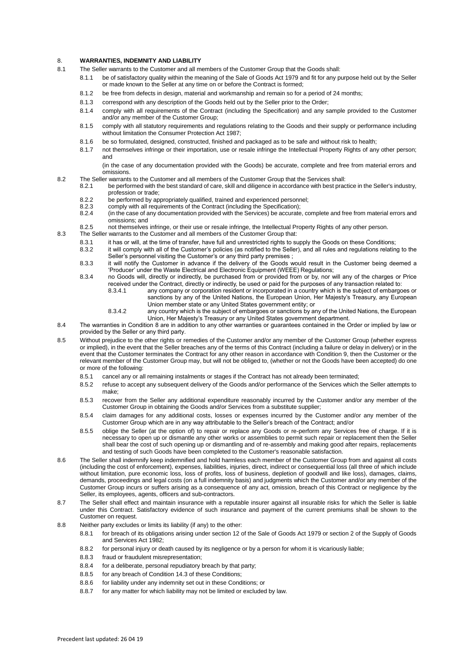## 8. **WARRANTIES, INDEMNITY AND LIABILITY**

- 8.1 The Seller warrants to the Customer and all members of the Customer Group that the Goods shall:
	- 8.1.1 be of satisfactory quality within the meaning of the Sale of Goods Act 1979 and fit for any purpose held out by the Seller or made known to the Seller at any time on or before the Contract is formed;
	- 8.1.2 be free from defects in design, material and workmanship and remain so for a period of 24 months;
	- 8.1.3 correspond with any description of the Goods held out by the Seller prior to the Order;
	- 8.1.4 comply with all requirements of the Contract (including the Specification) and any sample provided to the Customer and/or any member of the Customer Group;
	- 8.1.5 comply with all statutory requirements and regulations relating to the Goods and their supply or performance including without limitation the Consumer Protection Act 1987;
	- 8.1.6 be so formulated, designed, constructed, finished and packaged as to be safe and without risk to health;
	- 8.1.7 not themselves infringe or their importation, use or resale infringe the Intellectual Property Rights of any other person; and
	- (in the case of any documentation provided with the Goods) be accurate, complete and free from material errors and omissions.
- 8.2 The Seller warrants to the Customer and all members of the Customer Group that the Services shall:
	- 8.2.1 be performed with the best standard of care, skill and diligence in accordance with best practice in the Seller's industry, profession or trade;
		- 8.2.2 be performed by appropriately qualified, trained and experienced personnel;<br>8.2.3 comply with all requirements of the Contract (including the Specification);
		- 8.2.3 comply with all requirements of the Contract (including the Specification);<br>8.2.4 (in the case of any documentation provided with the Services) be accurate
		- 8.2.4 (in the case of any documentation provided with the Services) be accurate, complete and free from material errors and omissions; and

8.2.5 not themselves infringe, or their use or resale infringe, the Intellectual Property Rights of any other person.

- 8.3 The Seller warrants to the Customer and all members of the Customer Group that:
	- 8.3.1 it has or will, at the time of transfer, have full and unrestricted rights to supply the Goods on these Conditions;
	- 8.3.2 it will comply with all of the Customer's policies (as notified to the Seller), and all rules and regulations relating to the Seller's personnel visiting the Customer's or any third party premises ;
	- 8.3.3 it will notify the Customer in advance if the delivery of the Goods would result in the Customer being deemed a 'Producer' under the Waste Electrical and Electronic Equipment (WEEE) Regulations;
	- 8.3.4 no Goods will, directly or indirectly, be purchased from or provided from or by, nor will any of the charges or Price received under the Contract, directly or indirectly, be used or paid for the purposes of any transaction related to:<br>8.3.4.1 any company or corporation resident or incorporated in a country which is the subject of embargor any company or corporation resident or incorporated in a country which is the subject of embargoes or
		- sanctions by any of the United Nations, the European Union, Her Majesty's Treasury, any European Union member state or any United States government entity; or
		- 8.3.4.2 any country which is the subject of embargoes or sanctions by any of the United Nations, the European Union, Her Majesty's Treasury or any United States government department.
- 8.4 The warranties in Condition 8 are in addition to any other warranties or guarantees contained in the Order or implied by law or provided by the Seller or any third party.
- 8.5 Without prejudice to the other rights or remedies of the Customer and/or any member of the Customer Group (whether express or implied), in the event that the Seller breaches any of the terms of this Contract (including a failure or delay in delivery) or in the event that the Customer terminates the Contract for any other reason in accordance with Condition 9, then the Customer or the relevant member of the Customer Group may, but will not be obliged to, (whether or not the Goods have been accepted) do one or more of the following:
	- 8.5.1 cancel any or all remaining instalments or stages if the Contract has not already been terminated;
	- 8.5.2 refuse to accept any subsequent delivery of the Goods and/or performance of the Services which the Seller attempts to make;
	- 8.5.3 recover from the Seller any additional expenditure reasonably incurred by the Customer and/or any member of the Customer Group in obtaining the Goods and/or Services from a substitute supplier;
	- 8.5.4 claim damages for any additional costs, losses or expenses incurred by the Customer and/or any member of the Customer Group which are in any way attributable to the Seller's breach of the Contract; and/or
	- 8.5.5 oblige the Seller (at the option of) to repair or replace any Goods or re-perform any Services free of charge. If it is necessary to open up or dismantle any other works or assemblies to permit such repair or replacement then the Seller shall bear the cost of such opening up or dismantling and of re-assembly and making good after repairs, replacements and testing of such Goods have been completed to the Customer's reasonable satisfaction.
- 8.6 The Seller shall indemnify keep indemnified and hold harmless each member of the Customer Group from and against all costs (including the cost of enforcement), expenses, liabilities, injuries, direct, indirect or consequential loss (all three of which include without limitation, pure economic loss, loss of profits, loss of business, depletion of goodwill and like loss), damages, claims, demands, proceedings and legal costs (on a full indemnity basis) and judgments which the Customer and/or any member of the Customer Group incurs or suffers arising as a consequence of any act, omission, breach of this Contract or negligence by the Seller, its employees, agents, officers and sub-contractors.
- 8.7 The Seller shall effect and maintain insurance with a reputable insurer against all insurable risks for which the Seller is liable under this Contract. Satisfactory evidence of such insurance and payment of the current premiums shall be shown to the Customer on request.
- 8.8 Neither party excludes or limits its liability (if any) to the other:
	- 8.8.1 for breach of its obligations arising under section 12 of the Sale of Goods Act 1979 or section 2 of the Supply of Goods and Services Act 1982;
	- 8.8.2 for personal injury or death caused by its negligence or by a person for whom it is vicariously liable;
	- 8.8.3 fraud or fraudulent misrepresentation;
	- 8.8.4 for a deliberate, personal repudiatory breach by that party;
	- 8.8.5 for any breach of Condition 14.3 of these Conditions;
	- 8.8.6 for liability under any indemnity set out in these Conditions; or
	- 8.8.7 for any matter for which liability may not be limited or excluded by law.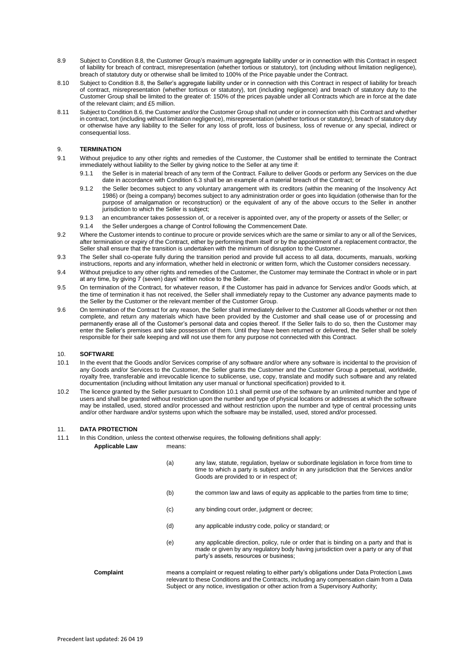- 8.9 Subject to Condition 8.8, the Customer Group's maximum aggregate liability under or in connection with this Contract in respect of liability for breach of contract, misrepresentation (whether tortious or statutory), tort (including without limitation negligence), breach of statutory duty or otherwise shall be limited to 100% of the Price payable under the Contract.
- 8.10 Subject to Condition 8.8, the Seller's aggregate liability under or in connection with this Contract in respect of liability for breach of contract, misrepresentation (whether tortious or statutory), tort (including negligence) and breach of statutory duty to the Customer Group shall be limited to the greater of: 150% of the prices payable under all Contracts which are in force at the date of the relevant claim; and £5 million.
- 8.11 Subject to Condition 8.6, the Customer and/or the Customer Group shall not under or in connection with this Contract and whether in contract, tort (including without limitation negligence), misrepresentation (whether tortious or statutory), breach of statutory duty or otherwise have any liability to the Seller for any loss of profit, loss of business, loss of revenue or any special, indirect or consequential loss.

## 9. **TERMINATION**

- 9.1 Without prejudice to any other rights and remedies of the Customer, the Customer shall be entitled to terminate the Contract immediately without liability to the Seller by giving notice to the Seller at any time if:
	- 9.1.1 the Seller is in material breach of any term of the Contract. Failure to deliver Goods or perform any Services on the due date in accordance with Condition 6.3 shall be an example of a material breach of the Contract; or
	- 9.1.2 the Seller becomes subject to any voluntary arrangement with its creditors (within the meaning of the Insolvency Act 1986) or (being a company) becomes subject to any administration order or goes into liquidation (otherwise than for the purpose of amalgamation or reconstruction) or the equivalent of any of the above occurs to the Seller in another jurisdiction to which the Seller is subject;
	- 9.1.3 an encumbrancer takes possession of, or a receiver is appointed over, any of the property or assets of the Seller; or
	- 9.1.4 the Seller undergoes a change of Control following the Commencement Date.
- 9.2 Where the Customer intends to continue to procure or provide services which are the same or similar to any or all of the Services, after termination or expiry of the Contract, either by performing them itself or by the appointment of a replacement contractor, the Seller shall ensure that the transition is undertaken with the minimum of disruption to the Customer.
- 9.3 The Seller shall co-operate fully during the transition period and provide full access to all data, documents, manuals, working instructions, reports and any information, whether held in electronic or written form, which the Customer considers necessary.
- 9.4 Without prejudice to any other rights and remedies of the Customer, the Customer may terminate the Contract in whole or in part at any time, by giving 7 (seven) days' written notice to the Seller.
- 9.5 On termination of the Contract, for whatever reason, if the Customer has paid in advance for Services and/or Goods which, at the time of termination it has not received, the Seller shall immediately repay to the Customer any advance payments made to the Seller by the Customer or the relevant member of the Customer Group.
- 9.6 On termination of the Contract for any reason, the Seller shall immediately deliver to the Customer all Goods whether or not then complete, and return any materials which have been provided by the Customer and shall cease use of or processing and permanently erase all of the Customer's personal data and copies thereof. If the Seller fails to do so, then the Customer may enter the Seller's premises and take possession of them. Until they have been returned or delivered, the Seller shall be solely responsible for their safe keeping and will not use them for any purpose not connected with this Contract.

#### 10. **SOFTWARE**

- 10.1 In the event that the Goods and/or Services comprise of any software and/or where any software is incidental to the provision of any Goods and/or Services to the Customer, the Seller grants the Customer and the Customer Group a perpetual, worldwide, royalty free, transferable and irrevocable licence to sublicense, use, copy, translate and modify such software and any related documentation (including without limitation any user manual or functional specification) provided to it.
- 10.2 The licence granted by the Seller pursuant to Condition 10.1 shall permit use of the software by an unlimited number and type of users and shall be granted without restriction upon the number and type of physical locations or addresses at which the software may be installed, used, stored and/or processed and without restriction upon the number and type of central processing units and/or other hardware and/or systems upon which the software may be installed, used, stored and/or processed.

### 11. **DATA PROTECTION**

11.1 In this Condition, unless the context otherwise requires, the following definitions shall apply:

#### **Applicable Law** means:

- (a) any law, statute, regulation, byelaw or subordinate legislation in force from time to time to which a party is subject and/or in any jurisdiction that the Services and/or Goods are provided to or in respect of;
- (b) the common law and laws of equity as applicable to the parties from time to time;
- (c) any binding court order, judgment or decree;
- (d) any applicable industry code, policy or standard; or
- (e) any applicable direction, policy, rule or order that is binding on a party and that is made or given by any regulatory body having jurisdiction over a party or any of that party's assets, resources or business;

#### **Complaint** means a complaint or request relating to either party's obligations under Data Protection Laws relevant to these Conditions and the Contracts, including any compensation claim from a Data Subject or any notice, investigation or other action from a Supervisory Authority;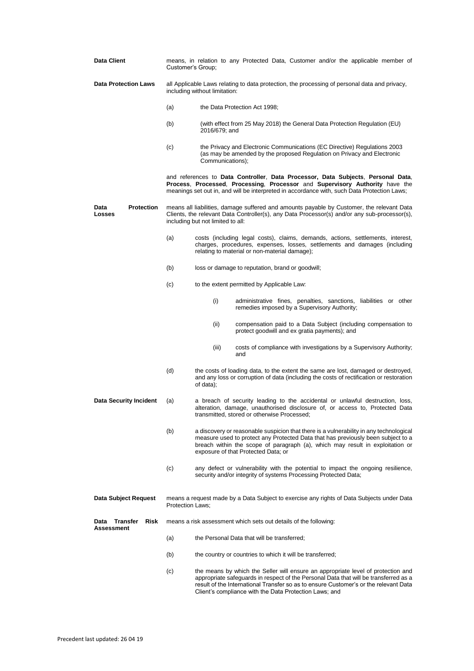<span id="page-5-0"></span>

| Data Client                                          | means, in relation to any Protected Data, Customer and/or the applicable member of<br>Customer's Group;                                                                                                                        |                                                                                                                                                                                                                                                                                                                            |  |
|------------------------------------------------------|--------------------------------------------------------------------------------------------------------------------------------------------------------------------------------------------------------------------------------|----------------------------------------------------------------------------------------------------------------------------------------------------------------------------------------------------------------------------------------------------------------------------------------------------------------------------|--|
| <b>Data Protection Laws</b>                          | all Applicable Laws relating to data protection, the processing of personal data and privacy,<br>including without limitation:                                                                                                 |                                                                                                                                                                                                                                                                                                                            |  |
|                                                      | (a)                                                                                                                                                                                                                            | the Data Protection Act 1998;                                                                                                                                                                                                                                                                                              |  |
|                                                      | (b)                                                                                                                                                                                                                            | (with effect from 25 May 2018) the General Data Protection Regulation (EU)<br>2016/679; and                                                                                                                                                                                                                                |  |
|                                                      | (c)                                                                                                                                                                                                                            | the Privacy and Electronic Communications (EC Directive) Regulations 2003<br>(as may be amended by the proposed Regulation on Privacy and Electronic<br>Communications);                                                                                                                                                   |  |
|                                                      |                                                                                                                                                                                                                                | and references to Data Controller, Data Processor, Data Subjects, Personal Data,<br>Process, Processed, Processing, Processor and Supervisory Authority have the<br>meanings set out in, and will be interpreted in accordance with, such Data Protection Laws;                                                            |  |
| <b>Protection</b><br>Data<br>Losses                  | means all liabilities, damage suffered and amounts payable by Customer, the relevant Data<br>Clients, the relevant Data Controller(s), any Data Processor(s) and/or any sub-processor(s),<br>including but not limited to all: |                                                                                                                                                                                                                                                                                                                            |  |
|                                                      | (a)                                                                                                                                                                                                                            | costs (including legal costs), claims, demands, actions, settlements, interest,<br>charges, procedures, expenses, losses, settlements and damages (including<br>relating to material or non-material damage);                                                                                                              |  |
|                                                      | (b)                                                                                                                                                                                                                            | loss or damage to reputation, brand or goodwill;                                                                                                                                                                                                                                                                           |  |
|                                                      | (c)                                                                                                                                                                                                                            | to the extent permitted by Applicable Law:                                                                                                                                                                                                                                                                                 |  |
|                                                      |                                                                                                                                                                                                                                | (i)<br>administrative fines, penalties, sanctions, liabilities or other<br>remedies imposed by a Supervisory Authority;                                                                                                                                                                                                    |  |
|                                                      |                                                                                                                                                                                                                                | (ii)<br>compensation paid to a Data Subject (including compensation to<br>protect goodwill and ex gratia payments); and                                                                                                                                                                                                    |  |
|                                                      |                                                                                                                                                                                                                                | (iii)<br>costs of compliance with investigations by a Supervisory Authority;<br>and                                                                                                                                                                                                                                        |  |
|                                                      | (d)                                                                                                                                                                                                                            | the costs of loading data, to the extent the same are lost, damaged or destroyed,<br>and any loss or corruption of data (including the costs of rectification or restoration<br>of data);                                                                                                                                  |  |
| <b>Data Security Incident</b>                        | (a)                                                                                                                                                                                                                            | a breach of security leading to the accidental or unlawful destruction, loss,<br>alteration, damage, unauthorised disclosure of, or access to, Protected Data<br>transmitted, stored or otherwise Processed;                                                                                                               |  |
|                                                      | (b)                                                                                                                                                                                                                            | a discovery or reasonable suspicion that there is a vulnerability in any technological<br>measure used to protect any Protected Data that has previously been subject to a<br>breach within the scope of paragraph (a), which may result in exploitation or<br>exposure of that Protected Data; or                         |  |
|                                                      | (c)                                                                                                                                                                                                                            | any defect or vulnerability with the potential to impact the ongoing resilience,<br>security and/or integrity of systems Processing Protected Data;                                                                                                                                                                        |  |
| Data Subject Request                                 | means a request made by a Data Subject to exercise any rights of Data Subjects under Data<br><b>Protection Laws:</b>                                                                                                           |                                                                                                                                                                                                                                                                                                                            |  |
| <b>Transfer</b><br><b>Risk</b><br>Data<br>Assessment |                                                                                                                                                                                                                                | means a risk assessment which sets out details of the following:                                                                                                                                                                                                                                                           |  |
|                                                      | (a)                                                                                                                                                                                                                            | the Personal Data that will be transferred;                                                                                                                                                                                                                                                                                |  |
|                                                      | (b)                                                                                                                                                                                                                            | the country or countries to which it will be transferred;                                                                                                                                                                                                                                                                  |  |
|                                                      | (c)                                                                                                                                                                                                                            | the means by which the Seller will ensure an appropriate level of protection and<br>appropriate safeguards in respect of the Personal Data that will be transferred as a<br>result of the International Transfer so as to ensure Customer's or the relevant Data<br>Client's compliance with the Data Protection Laws; and |  |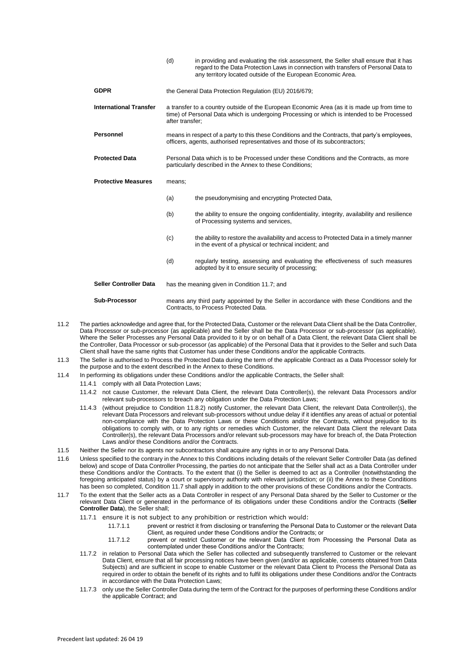|                               | (d)                                                                                                                                                                                                           | in providing and evaluating the risk assessment, the Seller shall ensure that it has<br>regard to the Data Protection Laws in connection with transfers of Personal Data to<br>any territory located outside of the European Economic Area. |
|-------------------------------|---------------------------------------------------------------------------------------------------------------------------------------------------------------------------------------------------------------|---------------------------------------------------------------------------------------------------------------------------------------------------------------------------------------------------------------------------------------------|
| <b>GDPR</b>                   | the General Data Protection Regulation (EU) 2016/679;                                                                                                                                                         |                                                                                                                                                                                                                                             |
| <b>International Transfer</b> | a transfer to a country outside of the European Economic Area (as it is made up from time to<br>time) of Personal Data which is undergoing Processing or which is intended to be Processed<br>after transfer; |                                                                                                                                                                                                                                             |
| <b>Personnel</b>              | means in respect of a party to this these Conditions and the Contracts, that party's employees,<br>officers, agents, authorised representatives and those of its subcontractors;                              |                                                                                                                                                                                                                                             |
| <b>Protected Data</b>         | Personal Data which is to be Processed under these Conditions and the Contracts, as more<br>particularly described in the Annex to these Conditions;                                                          |                                                                                                                                                                                                                                             |
| <b>Protective Measures</b>    | means:                                                                                                                                                                                                        |                                                                                                                                                                                                                                             |
|                               | (a)                                                                                                                                                                                                           | the pseudonymising and encrypting Protected Data,                                                                                                                                                                                           |
|                               | (b)                                                                                                                                                                                                           | the ability to ensure the ongoing confidentiality, integrity, availability and resilience<br>of Processing systems and services,                                                                                                            |
|                               | (c)                                                                                                                                                                                                           | the ability to restore the availability and access to Protected Data in a timely manner<br>in the event of a physical or technical incident; and                                                                                            |
|                               | (d)                                                                                                                                                                                                           | regularly testing, assessing and evaluating the effectiveness of such measures<br>adopted by it to ensure security of processing;                                                                                                           |
| <b>Seller Controller Data</b> | has the meaning given in Condition 11.7; and                                                                                                                                                                  |                                                                                                                                                                                                                                             |
| <b>Sub-Processor</b>          | means any third party appointed by the Seller in accordance with these Conditions and the                                                                                                                     |                                                                                                                                                                                                                                             |

11.2 The parties acknowledge and agree that, for the Protected Data, Customer or the relevant Data Client shall be the Data Controller, Data Processor or sub-processor (as applicable) and the Seller shall be the Data Processor or sub-processor (as applicable). Where the Seller Processes any Personal Data provided to it by or on behalf of a Data Client, the relevant Data Client shall be the Controller, Data Processor or sub-processor (as applicable) of the Personal Data that it provides to the Seller and such Data Client shall have the same rights that Customer has under these Conditions and/or the applicable Contracts.

Contracts, to Process Protected Data.

- 11.3 The Seller is authorised to Process the Protected Data during the term of the applicable Contract as a Data Processor solely for the purpose and to the extent described in the Annex to these Conditions.
- 11.4 In performing its obligations under these Conditions and/or the applicable Contracts, the Seller shall:
	- 11.4.1 comply with all Data Protection Laws;
		- 11.4.2 not cause Customer, the relevant Data Client, the relevant Data Controller(s), the relevant Data Processors and/or relevant sub-processors to breach any obligation under the Data Protection Laws;
		- 11.4.3 (without prejudice to Condition 11.8.2) notify Customer, the relevant Data Client, the relevant Data Controller(s), the relevant Data Processors and relevant sub-processors without undue delay if it identifies any areas of actual or potential non-compliance with the Data Protection Laws or these Conditions and/or the Contracts, without prejudice to its obligations to comply with, or to any rights or remedies which Customer, the relevant Data Client the relevant Data Controller(s), the relevant Data Processors and/or relevant sub-processors may have for breach of, the Data Protection Laws and/or these Conditions and/or the Contracts.
- 11.5 Neither the Seller nor its agents nor subcontractors shall acquire any rights in or to any Personal Data.
- 11.6 Unless specified to the contrary in the Annex to this Conditions including details of the relevant Seller Controller Data (as defined below) and scope of Data Controller Processing, the parties do not anticipate that the Seller shall act as a Data Controller under these Conditions and/or the Contracts. To the extent that (i) the Seller is deemed to act as a Controller (notwithstanding the foregoing anticipated status) by a court or supervisory authority with relevant jurisdiction; or (ii) the Annex to these Conditions has been so completed, Condition 11.7 shall apply in addition to the other provisions of these Conditions and/or the Contracts.
- 11.7 To the extent that the Seller acts as a Data Controller in respect of any Personal Data shared by the Seller to Customer or the relevant Data Client or generated in the performance of its obligations under these Conditions and/or the Contracts (**Seller Controller Data**), the Seller shall;
	- 11.7.1 ensure it is not subject to any prohibition or restriction which would:
		- 11.7.1.1 prevent or restrict it from disclosing or transferring the Personal Data to Customer or the relevant Data Client, as required under these Conditions and/or the Contracts; or
		- 11.7.1.2 prevent or restrict Customer or the relevant Data Client from Processing the Personal Data as contemplated under these Conditions and/or the Contracts;
	- 11.7.2 in relation to Personal Data which the Seller has collected and subsequently transferred to Customer or the relevant Data Client, ensure that all fair processing notices have been given (and/or as applicable, consents obtained from Data Subjects) and are sufficient in scope to enable Customer or the relevant Data Client to Process the Personal Data as required in order to obtain the benefit of its rights and to fulfil its obligations under these Conditions and/or the Contracts in accordance with the Data Protection Laws;
	- 11.7.3 only use the Seller Controller Data during the term of the Contract for the purposes of performing these Conditions and/or the applicable Contract; and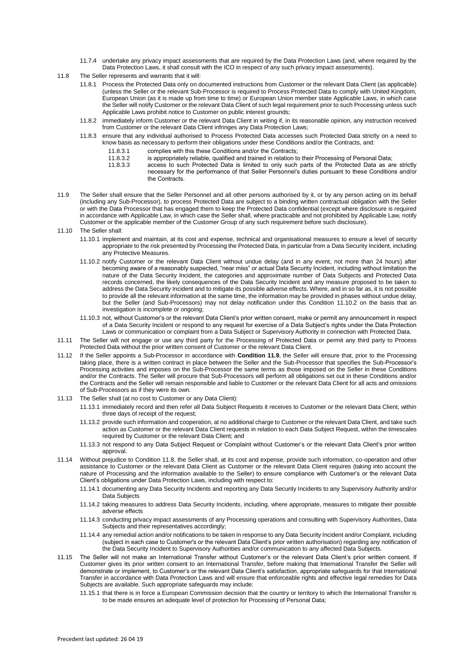- 11.7.4 undertake any privacy impact assessments that are required by the Data Protection Laws (and, where required by the Data Protection Laws, it shall consult with the ICO in respect of any such privacy impact assessments).
- 11.8 The Seller represents and warrants that it will:
	- 11.8.1 Process the Protected Data only on documented instructions from Customer or the relevant Data Client (as applicable) (unless the Seller or the relevant Sub-Processor is required to Process Protected Data to comply with United Kingdom, European Union (as it is made up from time to time) or European Union member state Applicable Laws, in which case the Seller will notify Customer or the relevant Data Client of such legal requirement prior to such Processing unless such Applicable Laws prohibit notice to Customer on public interest grounds;
	- 11.8.2 immediately inform Customer or the relevant Data Client in writing if, in its reasonable opinion, any instruction received from Customer or the relevant Data Client infringes any Data Protection Laws;
	- 11.8.3 ensure that any individual authorised to Process Protected Data accesses such Protected Data strictly on a need to know basis as necessary to perform their obligations under these Conditions and/or the Contracts, and:
		- 11.8.3.1 complies with this these Conditions and/or the Contracts;
		- 11.8.3.2 is appropriately reliable, qualified and trained in relation to their Processing of Personal Data;<br>11.8.3.3 access to such Protected Data is limited to only such parts of the Protected Data as an
			- access to such Protected Data is limited to only such parts of the Protected Data as are strictly necessary for the performance of that Seller Personnel's duties pursuant to these Conditions and/or the Contracts.
- 11.9 The Seller shall ensure that the Seller Personnel and all other persons authorised by it, or by any person acting on its behalf (including any Sub-Processor), to process Protected Data are subject to a binding written contractual obligation with the Seller or with the Data Processor that has engaged them to keep the Protected Data confidential (except where disclosure is required in accordance with Applicable Law, in which case the Seller shall, where practicable and not prohibited by Applicable Law, notify Customer or the applicable member of the Customer Group of any such requirement before such disclosure).

11.10 The Seller shall:

- 11.10.1 implement and maintain, at its cost and expense, technical and organisational measures to ensure a level of security appropriate to the risk presented by Processing the Protected Data, in particular from a Data Security Incident, including any Protective Measures.
- <span id="page-7-0"></span>11.10.2 notify Customer or the relevant Data Client without undue delay (and in any event, not more than 24 hours) after becoming aware of a reasonably suspected, "near miss" or actual Data Security Incident, including without limitation the nature of the Data Security Incident, the categories and approximate number of Data Subjects and Protected Data records concerned, the likely consequences of the Data Security Incident and any measure proposed to be taken to address the Data Security Incident and to mitigate its possible adverse effects. Where, and in so far as, it is not possible to provide all the relevant information at the same time, the information may be provided in phases without undue delay, but the Seller (and Sub-Processors) may not delay notification under this Condition [11.10.2](#page-7-0) on the basis that an investigation is incomplete or ongoing;
- 11.10.3 not, without Customer's or the relevant Data Client's prior written consent, make or permit any announcement in respect of a Data Security Incident or respond to any request for exercise of a Data Subject's rights under the Data Protection Laws or communication or complaint from a Data Subject or Supervisory Authority in connection with Protected Data.
- 11.11 The Seller will not engage or use any third party for the Processing of Protected Data or permit any third party to Process Protected Data without the prior written consent of Customer or the relevant Data Client.
- 11.12 If the Seller appoints a Sub-Processor in accordance with **Condition 11.9**, the Seller will ensure that, prior to the Processing taking place, there is a written contract in place between the Seller and the Sub-Processor that specifies the Sub-Processor's Processing activities and imposes on the Sub-Processor the same terms as those imposed on the Seller in these Conditions and/or the Contracts. The Seller will procure that Sub-Processors will perform all obligations set out in these Conditions and/or the Contracts and the Seller will remain responsible and liable to Customer or the relevant Data Client for all acts and omissions of Sub-Processors as if they were its own.
- 11.13 The Seller shall (at no cost to Customer or any Data Client):
	- 11.13.1 immediately record and then refer all Data Subject Requests it receives to Customer or the relevant Data Client, within three days of receipt of the request;
	- 11.13.2 provide such information and cooperation, at no additional charge to Customer or the relevant Data Client, and take such action as Customer or the relevant Data Client requests in relation to each Data Subject Request, within the timescales required by Customer or the relevant Data Client; and
	- 11.13.3 not respond to any Data Subject Request or Complaint without Customer's or the relevant Data Client's prior written approval.
- 11.14 Without prejudice to Condition 11.8, the Seller shall, at its cost and expense, provide such information, co-operation and other assistance to Customer or the relevant Data Client as Customer or the relevant Data Client requires (taking into account the nature of Processing and the information available to the Seller) to ensure compliance with Customer's or the relevant Data Client's obligations under Data Protection Laws, including with respect to:
	- 11.14.1 documenting any Data Security Incidents and reporting any Data Security Incidents to any Supervisory Authority and/or Data Subjects
	- 11.14.2 taking measures to address Data Security Incidents, including, where appropriate, measures to mitigate their possible adverse effects
	- 11.14.3 conducting privacy impact assessments of any Processing operations and consulting with Supervisory Authorities, Data Subjects and their representatives accordingly;
	- 11.14.4 any remedial action and/or notifications to be taken in response to any Data Security Incident and/or Complaint, including (subject in each case to Customer's or the relevant Data Client's prior written authorisation) regarding any notification of the Data Security Incident to Supervisory Authorities and/or communication to any affected Data Subjects.
- 11.15 The Seller will not make an International Transfer without Customer's or the relevant Data Client's prior written consent. If Customer gives its prior written consent to an International Transfer, before making that International Transfer the Seller will demonstrate or implement, to Customer's or the relevant Data Client's satisfaction, appropriate safeguards for that International Transfer in accordance with Data Protection Laws and will ensure that enforceable rights and effective legal remedies for Data Subjects are available. Such appropriate safeguards may include:
	- 11.15.1 that there is in force a European Commission decision that the country or territory to which the International Transfer is to be made ensures an adequate level of protection for Processing of Personal Data;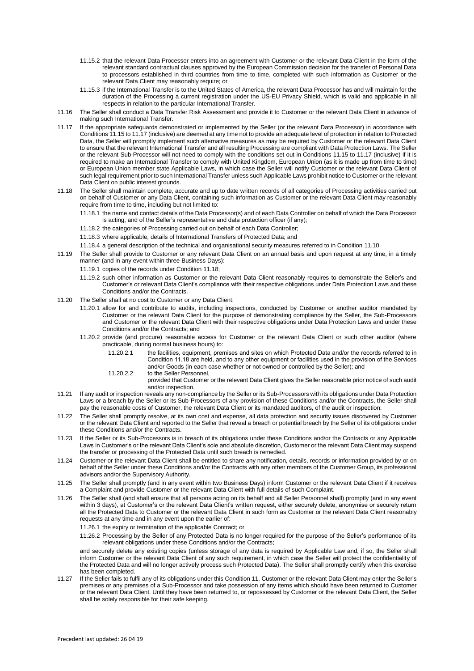- 11.15.2 that the relevant Data Processor enters into an agreement with Customer or the relevant Data Client in the form of the relevant standard contractual clauses approved by the European Commission decision for the transfer of Personal Data to processors established in third countries from time to time, completed with such information as Customer or the relevant Data Client may reasonably require; or
- 11.15.3 if the International Transfer is to the United States of America, the relevant Data Processor has and will maintain for the duration of the Processing a current registration under the US-EU Privacy Shield, which is valid and applicable in all respects in relation to the particular International Transfer.
- 11.16 The Seller shall conduct a Data Transfer Risk Assessment and provide it to Customer or the relevant Data Client in advance of making such International Transfer.
- 11.17 If the appropriate safeguards demonstrated or implemented by the Seller (or the relevant Data Processor) in accordance with Conditions 11.15 to 11.17 (inclusive) are deemed at any time not to provide an adequate level of protection in relation to Protected Data, the Seller will promptly implement such alternative measures as may be required by Customer or the relevant Data Client to ensure that the relevant International Transfer and all resulting Processing are compliant with Data Protection Laws. The Seller or the relevant Sub-Processor will not need to comply with the conditions set out in Conditions 11.15 to 11.17 (inclusive) if it is required to make an International Transfer to comply with United Kingdom, European Union (as it is made up from time to time) or European Union member state Applicable Laws, in which case the Seller will notify Customer or the relevant Data Client of such legal requirement prior to such International Transfer unless such Applicable Laws prohibit notice to Customer or the relevant Data Client on public interest grounds.
- <span id="page-8-0"></span>11.18 The Seller shall maintain complete, accurate and up to date written records of all categories of Processing activities carried out on behalf of Customer or any Data Client, containing such information as Customer or the relevant Data Client may reasonably require from time to time, including but not limited to:
	- 11.18.1 the name and contact details of the Data Processor(s) and of each Data Controller on behalf of which the Data Processor is acting, and of the Seller's representative and data protection officer (if any);
	- 11.18.2 the categories of Processing carried out on behalf of each Data Controller;
	- 11.18.3 where applicable, details of International Transfers of Protected Data; and
	- 11.18.4 a general description of the technical and organisational security measures referred to in Condition 11.10.
- 11.19 The Seller shall provide to Customer or any relevant Data Client on an annual basis and upon request at any time, in a timely manner (and in any event within three Business Days):
	- 11.19.1 copies of the records under Conditio[n 11.18;](#page-8-0)
	- 11.19.2 such other information as Customer or the relevant Data Client reasonably requires to demonstrate the Seller's and Customer's or relevant Data Client's compliance with their respective obligations under Data Protection Laws and these Conditions and/or the Contracts.
- 11.20 The Seller shall at no cost to Customer or any Data Client:
	- 11.20.1 allow for and contribute to audits, including inspections, conducted by Customer or another auditor mandated by Customer or the relevant Data Client for the purpose of demonstrating compliance by the Seller, the Sub-Processors and Customer or the relevant Data Client with their respective obligations under Data Protection Laws and under these Conditions and/or the Contracts; and
	- 11.20.2 provide (and procure) reasonable access for Customer or the relevant Data Client or such other auditor (where practicable, during normal business hours) to:
		- 11.20.2.1 the facilities, equipment, premises and sites on which Protected Data and/or the records referred to in Condition 11.18 are held, and to any other equipment or facilities used in the provision of the Services and/or Goods (in each case whether or not owned or controlled by the Seller); and
		- 11.20.2.2 to the Seller Personnel.
			- provided that Customer or the relevant Data Client gives the Seller reasonable prior notice of such audit and/or inspection.
- 11.21 If any audit or inspection reveals any non-compliance by the Seller or its Sub-Processors with its obligations under Data Protection Laws or a breach by the Seller or its Sub-Processors of any provision of these Conditions and/or the Contracts, the Seller shall pay the reasonable costs of Customer, the relevant Data Client or its mandated auditors, of the audit or inspection.
- 11.22 The Seller shall promptly resolve, at its own cost and expense, all data protection and security issues discovered by Customer or the relevant Data Client and reported to the Seller that reveal a breach or potential breach by the Seller of its obligations under these Conditions and/or the Contracts.
- 11.23 If the Seller or its Sub-Processors is in breach of its obligations under these Conditions and/or the Contracts or any Applicable Laws in Customer's or the relevant Data Client's sole and absolute discretion, Customer or the relevant Data Client may suspend the transfer or processing of the Protected Data until such breach is remedied.
- 11.24 Customer or the relevant Data Client shall be entitled to share any notification, details, records or information provided by or on behalf of the Seller under these Conditions and/or the Contracts with any other members of the Customer Group, its professional advisors and/or the Supervisory Authority.
- 11.25 The Seller shall promptly (and in any event within two Business Days) inform Customer or the relevant Data Client if it receives a Complaint and provide Customer or the relevant Data Client with full details of such Complaint.
- 11.26 The Seller shall (and shall ensure that all persons acting on its behalf and all Seller Personnel shall) promptly (and in any event within 3 days), at Customer's or the relevant Data Client's written request, either securely delete, anonymise or securely return all the Protected Data to Customer or the relevant Data Client in such form as Customer or the relevant Data Client reasonably requests at any time and in any event upon the earlier of:

11.26.1 the expiry or termination of the applicable Contract; or

11.26.2 Processing by the Seller of any Protected Data is no longer required for the purpose of the Seller's performance of its relevant obligations under these Conditions and/or the Contracts;

and securely delete any existing copies (unless storage of any data is required by Applicable Law and, if so, the Seller shall inform Customer or the relevant Data Client of any such requirement, in which case the Seller will protect the confidentiality of the Protected Data and will no longer actively process such Protected Data). The Seller shall promptly certify when this exercise has been completed.

11.27 If the Seller fails to fulfil any of its obligations under this Condition 11, Customer or the relevant Data Client may enter the Seller's premises or any premises of a Sub-Processor and take possession of any items which should have been returned to Customer or the relevant Data Client. Until they have been returned to, or repossessed by Customer or the relevant Data Client, the Seller shall be solely responsible for their safe keeping.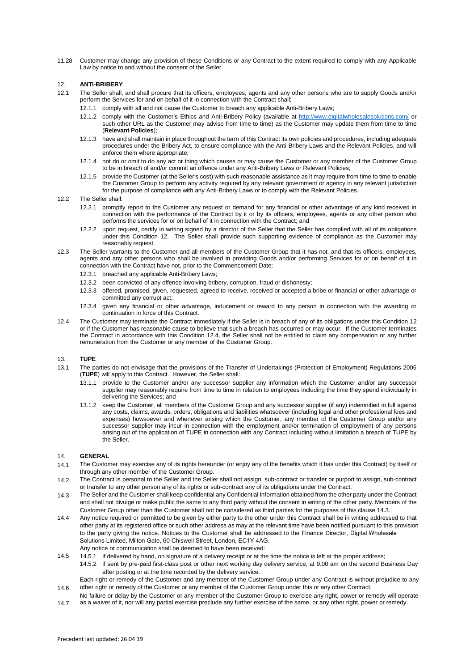11.28 Customer may change any provision of these Conditions or any Contract to the extent required to comply with any Applicable Law by notice to and without the consent of the Seller.

## 12. **ANTI-BRIBERY**

- 12.1 The Seller shall, and shall procure that its officers, employees, agents and any other persons who are to supply Goods and/or perform the Services for and on behalf of it in connection with the Contract shall;
	- 12.1.1 comply with all and not cause the Customer to breach any applicable Anti-Bribery Laws;
	- 12.1.2 comply with the Customer's Ethics and Anti-Bribery Policy (available at<http://www.digitalwholesalesolutions.com/> or such other URL as the Customer may advise from time to time) as the Customer may update them from time to time (**Relevant Policies**);
	- 12.1.3 have and shall maintain in place throughout the term of this Contract its own policies and procedures, including adequate procedures under the Bribery Act, to ensure compliance with the Anti-Bribery Laws and the Relevant Policies, and will enforce them where appropriate;
	- 12.1.4 not do or omit to do any act or thing which causes or may cause the Customer or any member of the Customer Group to be in breach of and/or commit an offence under any Anti-Bribery Laws or Relevant Policies;
	- 12.1.5 provide the Customer (at the Seller's cost) with such reasonable assistance as it may require from time to time to enable the Customer Group to perform any activity required by any relevant government or agency in any relevant jurisdiction for the purpose of compliance with any Anti-Bribery Laws or to comply with the Relevant Policies.
- 12.2 The Seller shall:
	- 12.2.1 promptly report to the Customer any request or demand for any financial or other advantage of any kind received in connection with the performance of the Contract by it or by its officers, employees, agents or any other person who performs the services for or on behalf of it in connection with the Contract; and
	- 12.2.2 upon request, certify in writing signed by a director of the Seller that the Seller has complied with all of its obligations under this Condition 12. The Seller shall provide such supporting evidence of compliance as the Customer may reasonably request.
- 12.3 The Seller warrants to the Customer and all members of the Customer Group that it has not, and that its officers, employees, agents and any other persons who shall be involved in providing Goods and/or performing Services for or on behalf of it in connection with the Contract have not, prior to the Commencement Date:
	- 12.3.1 breached any applicable Anti-Bribery Laws;
	- 12.3.2 been convicted of any offence involving bribery, corruption, fraud or dishonesty;
	- 12.3.3 offered, promised, given, requested, agreed to receive, received or accepted a bribe or financial or other advantage or committed any corrupt act;
	- 12.3.4 given any financial or other advantage, inducement or reward to any person in connection with the awarding or continuation in force of this Contract.
- 12.4 The Customer may terminate the Contract immediately if the Seller is in breach of any of its obligations under this Condition 12 or if the Customer has reasonable cause to believe that such a breach has occurred or may occur. If the Customer terminates the Contract in accordance with this Condition 12.4, the Seller shall not be entitled to claim any compensation or any further remuneration from the Customer or any member of the Customer Group.

#### 13. **TUPE**

- 13.1 The parties do not envisage that the provisions of the Transfer of Undertakings (Protection of Employment) Regulations 2006 (**TUPE**) will apply to this Contract. However, the Seller shall:
	- 13.1.1 provide to the Customer and/or any successor supplier any information which the Customer and/or any successor supplier may reasonably require from time to time in relation to employees including the time they spend individually in delivering the Services; and
	- 13.1.2 keep the Customer, all members of the Customer Group and any successor supplier (if any) indemnified in full against any costs, claims, awards, orders, obligations and liabilities whatsoever (including legal and other professional fees and expenses) howsoever and whenever arising which the Customer, any member of the Customer Group and/or any successor supplier may incur in connection with the employment and/or termination of employment of any persons arising out of the application of TUPE in connection with any Contract including without limitation a breach of TUPE by the Seller.

#### 14. **GENERAL**

- 14.1 The Customer may exercise any of its rights hereunder (or enjoy any of the benefits which it has under this Contract) by itself or through any other member of the Customer Group.
- $14.2$ The Contract is personal to the Seller and the Seller shall not assign, sub-contract or transfer or purport to assign, sub-contract or transfer to any other person any of its rights or sub-contract any of its obligations under the Contract.
- $14.3$ The Seller and the Customer shall keep confidential any Confidential Information obtained from the other party under the Contract and shall not divulge or make public the same to any third party without the consent in writing of the other party. Members of the Customer Group other than the Customer shall not be considered as third parties for the purposes of this clause 14.3.
- 14.4 Any notice required or permitted to be given by either party to the other under this Contract shall be in writing addressed to that other party at its registered office or such other address as may at the relevant time have been notified pursuant to this provision to the party giving the notice. Notices to the Customer shall be addressed to the Finance Director, Digital Wholesale Solutions Limited, Milton Gate, 60 Chiswell Street, London, EC1Y 4AG. Any notice or communication shall be deemed to have been received:
- 14.5 14.5.1 if delivered by hand, on signature of a delivery receipt or at the time the notice is left at the proper address;

14.5.2 if sent by pre-paid first-class post or other next working day delivery service, at 9.00 am on the second Business Day after posting or at the time recorded by the delivery service.

14.6 Each right or remedy of the Customer and any member of the Customer Group under any Contract is without prejudice to any other right or remedy of the Customer or any member of the Customer Group under this or any other Contract.

No failure or delay by the Customer or any member of the Customer Group to exercise any right, power or remedy will operate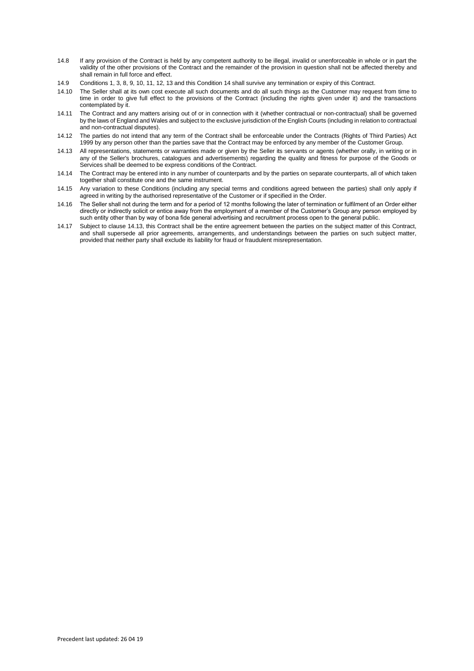- 14.8 If any provision of the Contract is held by any competent authority to be illegal, invalid or unenforceable in whole or in part the validity of the other provisions of the Contract and the remainder of the provision in question shall not be affected thereby and shall remain in full force and effect.
- 14.9 Conditions 1, 3, 8, 9, 10, 11, 12, 13 and this Condition 14 shall survive any termination or expiry of this Contract.
- 14.10 The Seller shall at its own cost execute all such documents and do all such things as the Customer may request from time to time in order to give full effect to the provisions of the Contract (including the rights given under it) and the transactions contemplated by it.
- 14.11 The Contract and any matters arising out of or in connection with it (whether contractual or non-contractual) shall be governed by the laws of England and Wales and subject to the exclusive jurisdiction of the English Courts (including in relation to contractual and non-contractual disputes).
- 14.12 The parties do not intend that any term of the Contract shall be enforceable under the Contracts (Rights of Third Parties) Act 1999 by any person other than the parties save that the Contract may be enforced by any member of the Customer Group.
- 14.13 All representations, statements or warranties made or given by the Seller its servants or agents (whether orally, in writing or in any of the Seller's brochures, catalogues and advertisements) regarding the quality and fitness for purpose of the Goods or Services shall be deemed to be express conditions of the Contract.
- 14.14 The Contract may be entered into in any number of counterparts and by the parties on separate counterparts, all of which taken together shall constitute one and the same instrument.
- 14.15 Any variation to these Conditions (including any special terms and conditions agreed between the parties) shall only apply if agreed in writing by the authorised representative of the Customer or if specified in the Order.
- 14.16 The Seller shall not during the term and for a period of 12 months following the later of termination or fulfilment of an Order either directly or indirectly solicit or entice away from the employment of a member of the Customer's Group any person employed by such entity other than by way of bona fide general advertising and recruitment process open to the general public.
- 14.17 Subject to clause 14.13, this Contract shall be the entire agreement between the parties on the subject matter of this Contract, and shall supersede all prior agreements, arrangements, and understandings between the parties on such subject matter, provided that neither party shall exclude its liability for fraud or fraudulent misrepresentation.